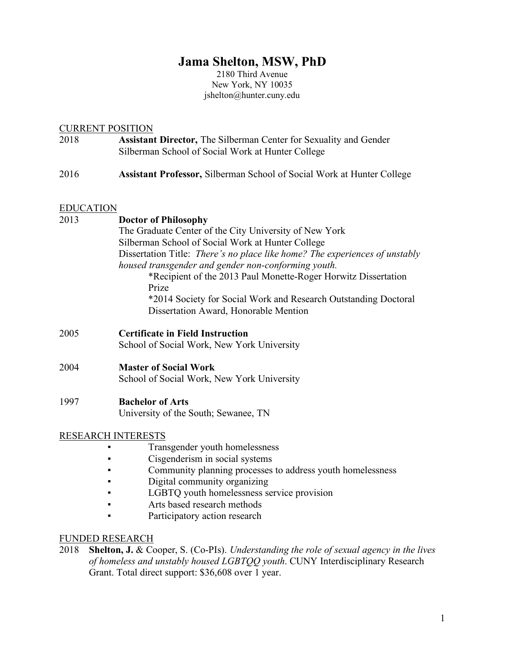# **Jama Shelton, MSW, PhD**

2180 Third Avenue New York, NY 10035 jshelton@hunter.cuny.edu

# CURRENT POSITION

- 2018 **Assistant Director,** The Silberman Center for Sexuality and Gender Silberman School of Social Work at Hunter College
- 2016 **Assistant Professor,** Silberman School of Social Work at Hunter College

## EDUCATION

# 2013 **Doctor of Philosophy**

The Graduate Center of the City University of New York Silberman School of Social Work at Hunter College Dissertation Title: *There's no place like home? The experiences of unstably housed transgender and gender non-conforming youth.* \*Recipient of the 2013 Paul Monette-Roger Horwitz Dissertation Prize \*2014 Society for Social Work and Research Outstanding Doctoral Dissertation Award, Honorable Mention

- 2005 **Certificate in Field Instruction** School of Social Work, New York University
- 2004 **Master of Social Work** School of Social Work, New York University

## 1997 **Bachelor of Arts**

University of the South; Sewanee, TN

# RESEARCH INTERESTS

- Transgender youth homelessness
- Cisgenderism in social systems
- **•** Community planning processes to address youth homelessness
- Digital community organizing
- **LGBTO youth homelessness service provision**
- Arts based research methods
- Participatory action research

## FUNDED RESEARCH

2018 **Shelton, J.** & Cooper, S. (Co-PIs). *Understanding the role of sexual agency in the lives of homeless and unstably housed LGBTQQ youth*. CUNY Interdisciplinary Research Grant. Total direct support: \$36,608 over 1 year.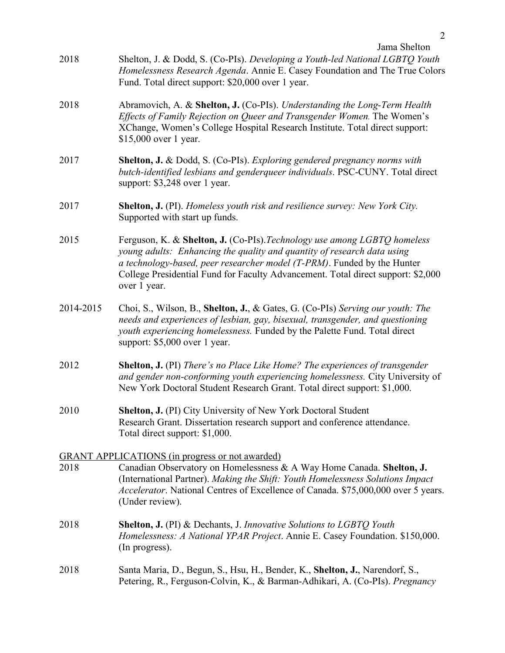| Jama Shelton |
|--------------|
|--------------|

- 2018 Shelton, J. & Dodd, S. (Co-PIs). *Developing a Youth-led National LGBTQ Youth Homelessness Research Agenda*. Annie E. Casey Foundation and The True Colors Fund. Total direct support: \$20,000 over 1 year.
- 2018 Abramovich, A. & **Shelton, J.** (Co-PIs). *Understanding the Long-Term Health Effects of Family Rejection on Queer and Transgender Women.* The Women's XChange, Women's College Hospital Research Institute. Total direct support: \$15,000 over 1 year.
- 2017 **Shelton, J.** & Dodd, S. (Co-PIs). *Exploring gendered pregnancy norms with butch-identified lesbians and genderqueer individuals*. PSC-CUNY. Total direct support: \$3,248 over 1 year.
- 2017 **Shelton, J.** (PI). *Homeless youth risk and resilience survey: New York City.* Supported with start up funds.
- 2015 Ferguson, K. & **Shelton, J.** (Co-PIs).*Technology use among LGBTQ homeless young adults: Enhancing the quality and quantity of research data using a technology-based, peer researcher model (T-PRM)*. Funded by the Hunter College Presidential Fund for Faculty Advancement. Total direct support: \$2,000 over 1 year.
- 2014-2015 Choi, S., Wilson, B., **Shelton, J.**, & Gates, G. (Co-PIs) *Serving our youth: The needs and experiences of lesbian, gay, bisexual, transgender, and questioning youth experiencing homelessness.* Funded by the Palette Fund. Total direct support: \$5,000 over 1 year.
- 2012 **Shelton, J.** (PI) *There's no Place Like Home? The experiences of transgender and gender non-conforming youth experiencing homelessness.* City University of New York Doctoral Student Research Grant. Total direct support: \$1,000.
- 2010 **Shelton, J.** (PI) City University of New York Doctoral Student Research Grant. Dissertation research support and conference attendance. Total direct support: \$1,000.

GRANT APPLICATIONS (in progress or not awarded) 2018 Canadian Observatory on Homelessness & A Way Home Canada. **Shelton, J.**  (International Partner). *Making the Shift: Youth Homelessness Solutions Impact Accelerator*. National Centres of Excellence of Canada. \$75,000,000 over 5 years. (Under review).

- 2018 **Shelton, J.** (PI) & Dechants, J. *Innovative Solutions to LGBTQ Youth Homelessness: A National YPAR Project*. Annie E. Casey Foundation. \$150,000. (In progress).
- 2018 Santa Maria, D., Begun, S., Hsu, H., Bender, K., **Shelton, J.**, Narendorf, S., Petering, R., Ferguson-Colvin, K., & Barman-Adhikari, A. (Co-PIs). *Pregnancy*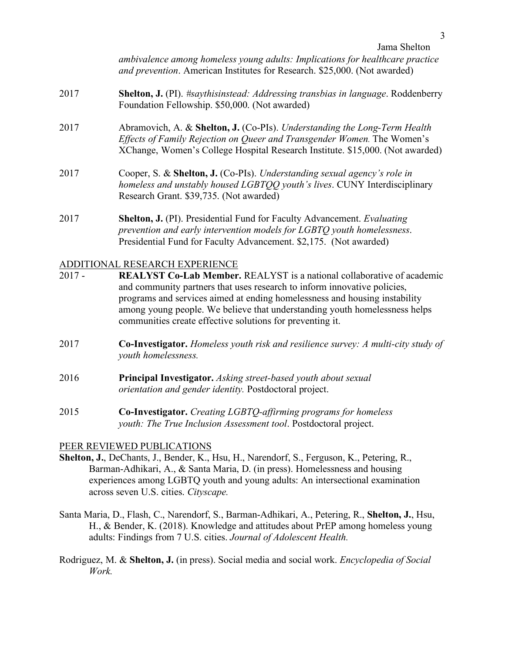*ambivalence among homeless young adults: Implications for healthcare practice and prevention*. American Institutes for Research. \$25,000. (Not awarded)

- 2017 **Shelton, J.** (PI). *#saythisinstead: Addressing transbias in language*. Roddenberry Foundation Fellowship. \$50,000. (Not awarded)
- 2017 Abramovich, A. & **Shelton, J.** (Co-PIs). *Understanding the Long-Term Health Effects of Family Rejection on Queer and Transgender Women.* The Women's XChange, Women's College Hospital Research Institute. \$15,000. (Not awarded)
- 2017 Cooper, S. & **Shelton, J.** (Co-PIs). *Understanding sexual agency's role in homeless and unstably housed LGBTQQ youth's lives*. CUNY Interdisciplinary Research Grant. \$39,735. (Not awarded)
- 2017 **Shelton, J.** (PI). Presidential Fund for Faculty Advancement. *Evaluating prevention and early intervention models for LGBTQ youth homelessness*. Presidential Fund for Faculty Advancement. \$2,175. (Not awarded)

#### ADDITIONAL RESEARCH EXPERIENCE

- 2017 **REALYST Co-Lab Member.** REALYST is a national collaborative of academic and community partners that uses research to inform innovative policies, programs and services aimed at ending homelessness and housing instability among young people. We believe that understanding youth homelessness helps communities create effective solutions for preventing it.
- 2017 **Co-Investigator.** *Homeless youth risk and resilience survey: A multi-city study of youth homelessness.*
- 2016 **Principal Investigator.** *Asking street-based youth about sexual orientation and gender identity.* Postdoctoral project.
- 2015 **Co-Investigator.** *Creating LGBTQ-affirming programs for homeless youth: The True Inclusion Assessment tool*. Postdoctoral project.

#### PEER REVIEWED PUBLICATIONS

- **Shelton, J.**, DeChants, J., Bender, K., Hsu, H., Narendorf, S., Ferguson, K., Petering, R., Barman-Adhikari, A., & Santa Maria, D. (in press). Homelessness and housing experiences among LGBTQ youth and young adults: An intersectional examination across seven U.S. cities. *Cityscape.*
- Santa Maria, D., Flash, C., Narendorf, S., Barman-Adhikari, A., Petering, R., **Shelton, J.**, Hsu, H., & Bender, K. (2018). Knowledge and attitudes about PrEP among homeless young adults: Findings from 7 U.S. cities. *Journal of Adolescent Health.*
- Rodriguez, M. & **Shelton, J.** (in press). Social media and social work. *Encyclopedia of Social Work.*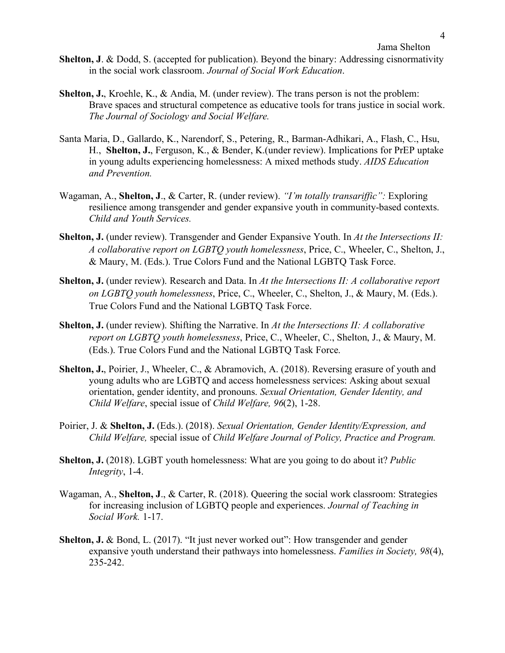- **Shelton, J**. & Dodd, S. (accepted for publication). Beyond the binary: Addressing cisnormativity in the social work classroom. *Journal of Social Work Education*.
- **Shelton, J.**, Kroehle, K., & Andia, M. (under review). The trans person is not the problem: Brave spaces and structural competence as educative tools for trans justice in social work. *The Journal of Sociology and Social Welfare.*
- Santa Maria, D., Gallardo, K., Narendorf, S., Petering, R., Barman-Adhikari, A., Flash, C., Hsu, H., **Shelton, J.**, Ferguson, K., & Bender, K.(under review). Implications for PrEP uptake in young adults experiencing homelessness: A mixed methods study. *AIDS Education and Prevention.*
- Wagaman, A., **Shelton, J**., & Carter, R. (under review). *"I'm totally transariffic":* Exploring resilience among transgender and gender expansive youth in community-based contexts. *Child and Youth Services.*
- **Shelton, J.** (under review). Transgender and Gender Expansive Youth. In *At the Intersections II: A collaborative report on LGBTQ youth homelessness*, Price, C., Wheeler, C., Shelton, J., & Maury, M. (Eds.). True Colors Fund and the National LGBTQ Task Force.
- **Shelton, J.** (under review). Research and Data. In *At the Intersections II: A collaborative report on LGBTQ youth homelessness*, Price, C., Wheeler, C., Shelton, J., & Maury, M. (Eds.). True Colors Fund and the National LGBTQ Task Force.
- **Shelton, J.** (under review). Shifting the Narrative. In *At the Intersections II: A collaborative report on LGBTQ youth homelessness*, Price, C., Wheeler, C., Shelton, J., & Maury, M. (Eds.). True Colors Fund and the National LGBTQ Task Force.
- **Shelton, J.**, Poirier, J., Wheeler, C., & Abramovich, A. (2018). Reversing erasure of youth and young adults who are LGBTQ and access homelessness services: Asking about sexual orientation, gender identity, and pronouns. *Sexual Orientation, Gender Identity, and Child Welfare*, special issue of *Child Welfare, 96*(2), 1-28.
- Poirier, J. & **Shelton, J.** (Eds.). (2018). *Sexual Orientation, Gender Identity/Expression, and Child Welfare,* special issue of *Child Welfare Journal of Policy, Practice and Program.*
- **Shelton, J.** (2018). LGBT youth homelessness: What are you going to do about it? *Public Integrity*, 1-4.
- Wagaman, A., **Shelton, J**., & Carter, R. (2018). Queering the social work classroom: Strategies for increasing inclusion of LGBTQ people and experiences. *Journal of Teaching in Social Work.* 1-17.
- Shelton, J. & Bond, L. (2017). "It just never worked out": How transgender and gender expansive youth understand their pathways into homelessness. *Families in Society, 98*(4), 235-242.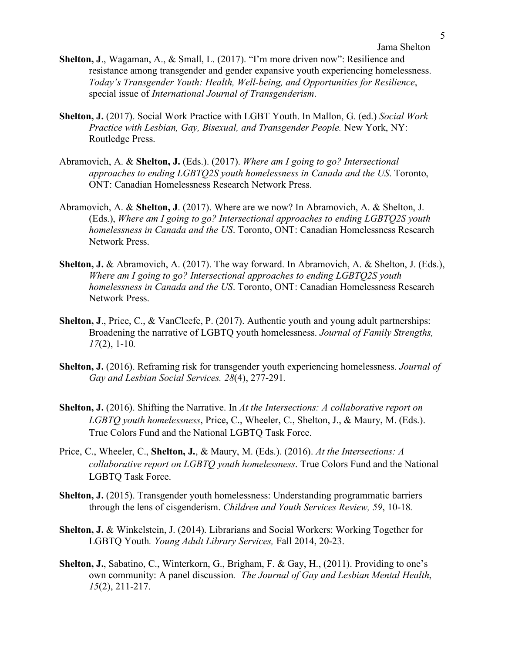- **Shelton, J**., Wagaman, A., & Small, L. (2017). "I'm more driven now": Resilience and resistance among transgender and gender expansive youth experiencing homelessness. *Today's Transgender Youth: Health, Well-being, and Opportunities for Resilience*, special issue of *International Journal of Transgenderism*.
- **Shelton, J.** (2017). Social Work Practice with LGBT Youth. In Mallon, G. (ed.) *Social Work Practice with Lesbian, Gay, Bisexual, and Transgender People.* New York, NY: Routledge Press.
- Abramovich, A. & **Shelton, J.** (Eds.). (2017). *Where am I going to go? Intersectional approaches to ending LGBTQ2S youth homelessness in Canada and the US*. Toronto, ONT: Canadian Homelessness Research Network Press.
- Abramovich, A. & **Shelton, J**. (2017). Where are we now? In Abramovich, A. & Shelton, J. (Eds.), *Where am I going to go? Intersectional approaches to ending LGBTQ2S youth homelessness in Canada and the US*. Toronto, ONT: Canadian Homelessness Research Network Press.
- **Shelton, J.** & Abramovich, A. (2017). The way forward. In Abramovich, A. & Shelton, J. (Eds.), *Where am I going to go? Intersectional approaches to ending LGBTQ2S youth homelessness in Canada and the US*. Toronto, ONT: Canadian Homelessness Research Network Press.
- **Shelton, J**., Price, C., & VanCleefe, P. (2017). Authentic youth and young adult partnerships: Broadening the narrative of LGBTQ youth homelessness. *Journal of Family Strengths, 17*(2), 1-10*.*
- **Shelton, J.** (2016). Reframing risk for transgender youth experiencing homelessness. *Journal of Gay and Lesbian Social Services. 28*(4), 277-291*.*
- **Shelton, J.** (2016). Shifting the Narrative. In *At the Intersections: A collaborative report on LGBTQ youth homelessness*, Price, C., Wheeler, C., Shelton, J., & Maury, M. (Eds.). True Colors Fund and the National LGBTQ Task Force.
- Price, C., Wheeler, C., **Shelton, J.**, & Maury, M. (Eds.). (2016). *At the Intersections: A collaborative report on LGBTQ youth homelessness*. True Colors Fund and the National LGBTQ Task Force.
- **Shelton, J.** (2015). Transgender youth homelessness: Understanding programmatic barriers through the lens of cisgenderism. *Children and Youth Services Review, 59*, 10-18*.*
- **Shelton, J.** & Winkelstein, J. (2014). Librarians and Social Workers: Working Together for LGBTQ Youth*. Young Adult Library Services,* Fall 2014, 20-23.
- **Shelton, J.**, Sabatino, C., Winterkorn, G., Brigham, F. & Gay, H., (2011). Providing to one's own community: A panel discussion*. The Journal of Gay and Lesbian Mental Health*, *15*(2), 211-217.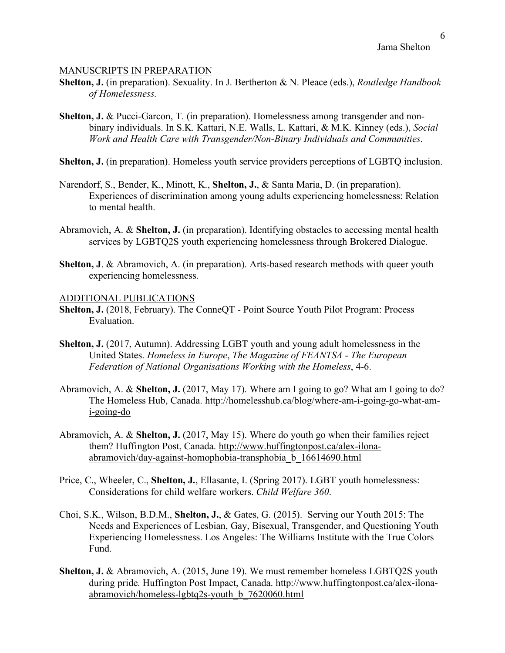#### MANUSCRIPTS IN PREPARATION

- **Shelton, J.** (in preparation). Sexuality. In J. Bertherton & N. Pleace (eds.), *Routledge Handbook of Homelessness.*
- **Shelton, J. & Pucci-Garcon, T. (in preparation). Homelessness among transgender and non**binary individuals. In S.K. Kattari, N.E. Walls, L. Kattari, & M.K. Kinney (eds.), *Social Work and Health Care with Transgender/Non-Binary Individuals and Communities*.
- **Shelton, J.** (in preparation). Homeless youth service providers perceptions of LGBTQ inclusion.
- Narendorf, S., Bender, K., Minott, K., **Shelton, J.**, & Santa Maria, D. (in preparation). Experiences of discrimination among young adults experiencing homelessness: Relation to mental health.
- Abramovich, A. & **Shelton, J.** (in preparation). Identifying obstacles to accessing mental health services by LGBTQ2S youth experiencing homelessness through Brokered Dialogue.
- **Shelton, J. & Abramovich, A. (in preparation). Arts-based research methods with queer youth** experiencing homelessness.

#### ADDITIONAL PUBLICATIONS

- **Shelton, J.** (2018, February). The ConneQT Point Source Youth Pilot Program: Process Evaluation.
- **Shelton, J.** (2017, Autumn). Addressing LGBT youth and young adult homelessness in the United States. *Homeless in Europe*, *The Magazine of FEANTSA - The European Federation of National Organisations Working with the Homeless*, 4-6.
- Abramovich, A. & **Shelton, J.** (2017, May 17). Where am I going to go? What am I going to do? The Homeless Hub, Canada. http://homelesshub.ca/blog/where-am-i-going-go-what-ami-going-do
- Abramovich, A. & **Shelton, J.** (2017, May 15). Where do youth go when their families reject them? Huffington Post, Canada. http://www.huffingtonpost.ca/alex-ilonaabramovich/day-against-homophobia-transphobia\_b\_16614690.html
- Price, C., Wheeler, C., **Shelton, J.**, Ellasante, I. (Spring 2017). LGBT youth homelessness: Considerations for child welfare workers. *Child Welfare 360*.
- Choi, S.K., Wilson, B.D.M., **Shelton, J.**, & Gates, G. (2015). Serving our Youth 2015: The Needs and Experiences of Lesbian, Gay, Bisexual, Transgender, and Questioning Youth Experiencing Homelessness. Los Angeles: The Williams Institute with the True Colors Fund.
- Shelton, J. & Abramovich, A. (2015, June 19). We must remember homeless LGBTQ2S youth during pride. Huffington Post Impact, Canada. http://www.huffingtonpost.ca/alex-ilonaabramovich/homeless-lgbtq2s-youth\_b\_7620060.html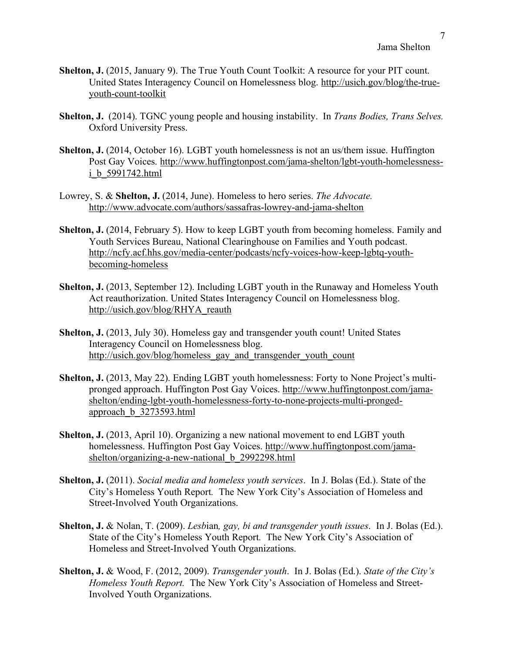- **Shelton, J.** (2015, January 9). The True Youth Count Toolkit: A resource for your PIT count. United States Interagency Council on Homelessness blog. http://usich.gov/blog/the-trueyouth-count-toolkit
- **Shelton, J.** (2014). TGNC young people and housing instability. In *Trans Bodies, Trans Selves.* Oxford University Press.
- **Shelton, J.** (2014, October 16). LGBT youth homelessness is not an us/them issue. Huffington Post Gay Voices. http://www.huffingtonpost.com/jama-shelton/lgbt-youth-homelessnessi\_b\_5991742.html
- Lowrey, S. & **Shelton, J.** (2014, June). Homeless to hero series. *The Advocate.* http://www.advocate.com/authors/sassafras-lowrey-and-jama-shelton
- **Shelton, J.** (2014, February 5). How to keep LGBT youth from becoming homeless. Family and Youth Services Bureau, National Clearinghouse on Families and Youth podcast. http://ncfy.acf.hhs.gov/media-center/podcasts/ncfy-voices-how-keep-lgbtq-youthbecoming-homeless
- **Shelton, J.** (2013, September 12). Including LGBT youth in the Runaway and Homeless Youth Act reauthorization. United States Interagency Council on Homelessness blog. http://usich.gov/blog/RHYA\_reauth
- **Shelton, J.** (2013, July 30). Homeless gay and transgender youth count! United States Interagency Council on Homelessness blog. http://usich.gov/blog/homeless\_gay\_and\_transgender\_youth\_count
- **Shelton, J.** (2013, May 22). Ending LGBT youth homelessness: Forty to None Project's multipronged approach. Huffington Post Gay Voices. http://www.huffingtonpost.com/jamashelton/ending-lgbt-youth-homelessness-forty-to-none-projects-multi-prongedapproach\_b\_3273593.html
- **Shelton, J.** (2013, April 10). Organizing a new national movement to end LGBT youth homelessness. Huffington Post Gay Voices. http://www.huffingtonpost.com/jamashelton/organizing-a-new-national b 2992298.html
- **Shelton, J.** (2011). *Social media and homeless youth services*. In J. Bolas (Ed.). State of the City's Homeless Youth Report*.* The New York City's Association of Homeless and Street-Involved Youth Organizations.
- **Shelton, J.** & Nolan, T. (2009). *Lesb*ian*, gay, bi and transgender youth issues*. In J. Bolas (Ed.). State of the City's Homeless Youth Report*.* The New York City's Association of Homeless and Street-Involved Youth Organizations.
- **Shelton, J.** & Wood, F. (2012, 2009). *Transgender youth*. In J. Bolas (Ed.). *State of the City's Homeless Youth Report.* The New York City's Association of Homeless and Street-Involved Youth Organizations.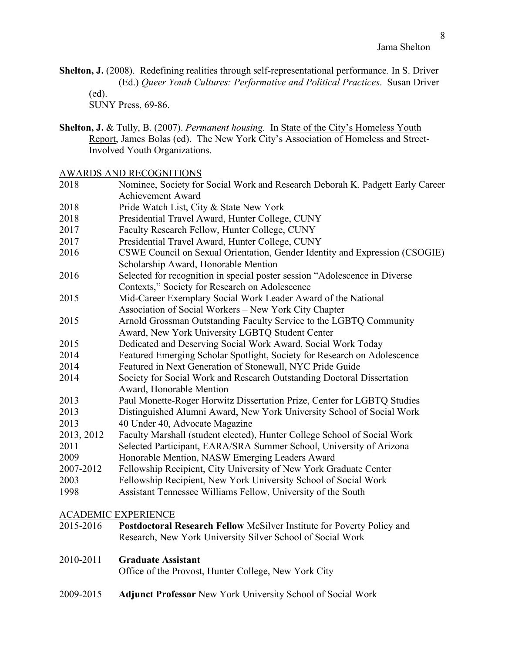**Shelton, J.** (2008). Redefining realities through self-representational performance*.* In S. Driver (Ed.) *Queer Youth Cultures: Performative and Political Practices*. Susan Driver (ed).

SUNY Press, 69-86.

**Shelton, J.** & Tully, B. (2007). *Permanent housing.* In State of the City's Homeless Youth Report, James Bolas (ed). The New York City's Association of Homeless and Street-Involved Youth Organizations.

AWARDS AND RECOGNITIONS

| 2018                       | Nominee, Society for Social Work and Research Deborah K. Padgett Early Career                                                |
|----------------------------|------------------------------------------------------------------------------------------------------------------------------|
|                            | <b>Achievement Award</b>                                                                                                     |
| 2018                       | Pride Watch List, City & State New York                                                                                      |
| 2018                       | Presidential Travel Award, Hunter College, CUNY                                                                              |
| 2017                       | Faculty Research Fellow, Hunter College, CUNY                                                                                |
| 2017                       | Presidential Travel Award, Hunter College, CUNY                                                                              |
| 2016                       | CSWE Council on Sexual Orientation, Gender Identity and Expression (CSOGIE)<br>Scholarship Award, Honorable Mention          |
| 2016                       | Selected for recognition in special poster session "Adolescence in Diverse<br>Contexts," Society for Research on Adolescence |
| 2015                       | Mid-Career Exemplary Social Work Leader Award of the National                                                                |
|                            | Association of Social Workers - New York City Chapter                                                                        |
| 2015                       | Arnold Grossman Outstanding Faculty Service to the LGBTQ Community                                                           |
|                            | Award, New York University LGBTQ Student Center                                                                              |
| 2015                       | Dedicated and Deserving Social Work Award, Social Work Today                                                                 |
| 2014                       | Featured Emerging Scholar Spotlight, Society for Research on Adolescence                                                     |
| 2014                       | Featured in Next Generation of Stonewall, NYC Pride Guide                                                                    |
| 2014                       | Society for Social Work and Research Outstanding Doctoral Dissertation                                                       |
|                            | Award, Honorable Mention                                                                                                     |
| 2013                       | Paul Monette-Roger Horwitz Dissertation Prize, Center for LGBTQ Studies                                                      |
| 2013                       | Distinguished Alumni Award, New York University School of Social Work                                                        |
| 2013                       | 40 Under 40, Advocate Magazine                                                                                               |
| 2013, 2012                 | Faculty Marshall (student elected), Hunter College School of Social Work                                                     |
| 2011                       | Selected Participant, EARA/SRA Summer School, University of Arizona                                                          |
| 2009                       | Honorable Mention, NASW Emerging Leaders Award                                                                               |
| 2007-2012                  | Fellowship Recipient, City University of New York Graduate Center                                                            |
| 2003                       | Fellowship Recipient, New York University School of Social Work                                                              |
| 1998                       | Assistant Tennessee Williams Fellow, University of the South                                                                 |
| <b>ACADEMIC EXPERIENCE</b> |                                                                                                                              |
| 2015-2016                  | Postdoctoral Research Fellow McSilver Institute for Poverty Policy and                                                       |
|                            | Research, New York University Silver School of Social Work                                                                   |

### 2010-2011 **Graduate Assistant**

Office of the Provost, Hunter College, New York City

2009-2015 **Adjunct Professor** New York University School of Social Work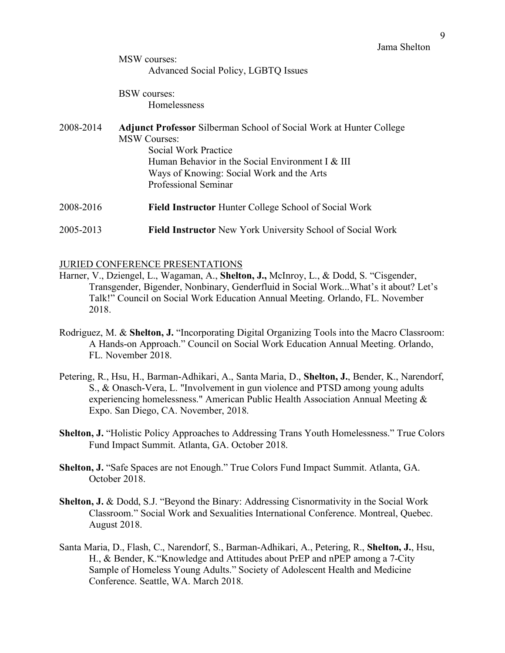MSW courses: Advanced Social Policy, LGBTQ Issues

BSW courses: Homelessness

2008-2014 **Adjunct Professor** Silberman School of Social Work at Hunter College MSW Courses: Social Work Practice Human Behavior in the Social Environment I & III Ways of Knowing: Social Work and the Arts Professional Seminar 2008-2016 **Field Instructor** Hunter College School of Social Work 2005-2013 **Field Instructor** New York University School of Social Work

### JURIED CONFERENCE PRESENTATIONS

- Harner, V., Dziengel, L., Wagaman, A., **Shelton, J.,** McInroy, L., & Dodd, S. "Cisgender, Transgender, Bigender, Nonbinary, Genderfluid in Social Work...What's it about? Let's Talk!" Council on Social Work Education Annual Meeting. Orlando, FL. November 2018.
- Rodriguez, M. & **Shelton, J.** "Incorporating Digital Organizing Tools into the Macro Classroom: A Hands-on Approach." Council on Social Work Education Annual Meeting. Orlando, FL. November 2018.
- Petering, R., Hsu, H., Barman-Adhikari, A., Santa Maria, D., **Shelton, J.**, Bender, K., Narendorf, S., & Onasch-Vera, L. "Involvement in gun violence and PTSD among young adults experiencing homelessness." American Public Health Association Annual Meeting & Expo. San Diego, CA. November, 2018.
- **Shelton, J.** "Holistic Policy Approaches to Addressing Trans Youth Homelessness." True Colors Fund Impact Summit. Atlanta, GA. October 2018.
- **Shelton, J.** "Safe Spaces are not Enough." True Colors Fund Impact Summit. Atlanta, GA. October 2018.
- **Shelton, J.** & Dodd, S.J. "Beyond the Binary: Addressing Cisnormativity in the Social Work Classroom." Social Work and Sexualities International Conference. Montreal, Quebec. August 2018.
- Santa Maria, D., Flash, C., Narendorf, S., Barman-Adhikari, A., Petering, R., **Shelton, J.**, Hsu, H., & Bender, K."Knowledge and Attitudes about PrEP and nPEP among a 7-City Sample of Homeless Young Adults." Society of Adolescent Health and Medicine Conference. Seattle, WA. March 2018.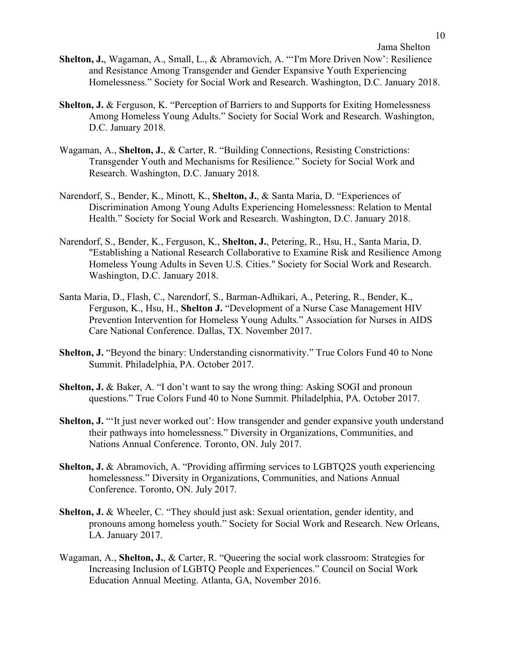- **Shelton, J.**, Wagaman, A., Small, L., & Abramovich, A. "'I'm More Driven Now': Resilience and Resistance Among Transgender and Gender Expansive Youth Experiencing Homelessness." Society for Social Work and Research. Washington, D.C. January 2018.
- **Shelton, J. & Ferguson, K. "Perception of Barriers to and Supports for Exiting Homelessness** Among Homeless Young Adults." Society for Social Work and Research. Washington, D.C. January 2018.
- Wagaman, A., **Shelton, J.**, & Carter, R. "Building Connections, Resisting Constrictions: Transgender Youth and Mechanisms for Resilience." Society for Social Work and Research. Washington, D.C. January 2018.
- Narendorf, S., Bender, K., Minott, K., **Shelton, J.**, & Santa Maria, D. "Experiences of Discrimination Among Young Adults Experiencing Homelessness: Relation to Mental Health." Society for Social Work and Research. Washington, D.C. January 2018.
- Narendorf, S., Bender, K., Ferguson, K., **Shelton, J.**, Petering, R., Hsu, H., Santa Maria, D. "Establishing a National Research Collaborative to Examine Risk and Resilience Among Homeless Young Adults in Seven U.S. Cities." Society for Social Work and Research. Washington, D.C. January 2018.
- Santa Maria, D., Flash, C., Narendorf, S., Barman-Adhikari, A., Petering, R., Bender, K., Ferguson, K., Hsu, H., **Shelton J.** "Development of a Nurse Case Management HIV Prevention Intervention for Homeless Young Adults." Association for Nurses in AIDS Care National Conference. Dallas, TX. November 2017.
- **Shelton, J.** "Beyond the binary: Understanding cisnormativity." True Colors Fund 40 to None Summit. Philadelphia, PA. October 2017.
- **Shelton, J. & Baker, A. "I don't want to say the wrong thing: Asking SOGI and pronoun** questions." True Colors Fund 40 to None Summit. Philadelphia, PA. October 2017.
- **Shelton, J.** ""It just never worked out": How transgender and gender expansive youth understand their pathways into homelessness." Diversity in Organizations, Communities, and Nations Annual Conference. Toronto, ON. July 2017.
- **Shelton, J.** & Abramovich, A. "Providing affirming services to LGBTQ2S youth experiencing homelessness." Diversity in Organizations, Communities, and Nations Annual Conference. Toronto, ON. July 2017.
- **Shelton, J. & Wheeler, C. "They should just ask: Sexual orientation, gender identity, and** pronouns among homeless youth." Society for Social Work and Research. New Orleans, LA. January 2017.
- Wagaman, A., **Shelton, J.**, & Carter, R. "Queering the social work classroom: Strategies for Increasing Inclusion of LGBTQ People and Experiences." Council on Social Work Education Annual Meeting. Atlanta, GA, November 2016.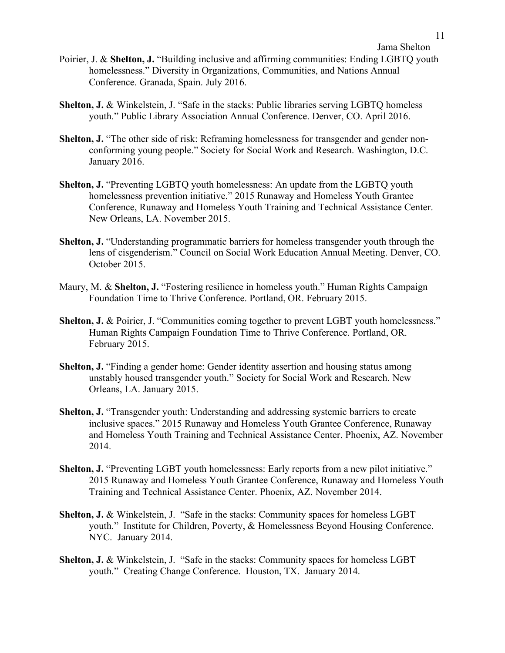Poirier, J. & **Shelton, J.** "Building inclusive and affirming communities: Ending LGBTQ youth homelessness." Diversity in Organizations, Communities, and Nations Annual Conference. Granada, Spain. July 2016.

- **Shelton, J.** & Winkelstein, J. "Safe in the stacks: Public libraries serving LGBTQ homeless youth." Public Library Association Annual Conference. Denver, CO. April 2016.
- **Shelton, J.** "The other side of risk: Reframing homelessness for transgender and gender nonconforming young people." Society for Social Work and Research. Washington, D.C. January 2016.
- **Shelton, J.** "Preventing LGBTQ youth homelessness: An update from the LGBTQ youth homelessness prevention initiative." 2015 Runaway and Homeless Youth Grantee Conference, Runaway and Homeless Youth Training and Technical Assistance Center. New Orleans, LA. November 2015.
- **Shelton, J.** "Understanding programmatic barriers for homeless transgender youth through the lens of cisgenderism." Council on Social Work Education Annual Meeting. Denver, CO. October 2015.
- Maury, M. & **Shelton, J.** "Fostering resilience in homeless youth." Human Rights Campaign Foundation Time to Thrive Conference. Portland, OR. February 2015.
- **Shelton, J. & Poirier, J. "Communities coming together to prevent LGBT youth homelessness."** Human Rights Campaign Foundation Time to Thrive Conference. Portland, OR. February 2015.
- **Shelton, J.** "Finding a gender home: Gender identity assertion and housing status among unstably housed transgender youth." Society for Social Work and Research. New Orleans, LA. January 2015.
- **Shelton, J.** "Transgender youth: Understanding and addressing systemic barriers to create inclusive spaces." 2015 Runaway and Homeless Youth Grantee Conference, Runaway and Homeless Youth Training and Technical Assistance Center. Phoenix, AZ. November 2014.
- **Shelton, J.** "Preventing LGBT youth homelessness: Early reports from a new pilot initiative." 2015 Runaway and Homeless Youth Grantee Conference, Runaway and Homeless Youth Training and Technical Assistance Center. Phoenix, AZ. November 2014.
- **Shelton, J. & Winkelstein, J. "Safe in the stacks: Community spaces for homeless LGBT** youth." Institute for Children, Poverty, & Homelessness Beyond Housing Conference. NYC. January 2014.
- **Shelton, J. & Winkelstein, J. "Safe in the stacks: Community spaces for homeless LGBT** youth." Creating Change Conference. Houston, TX. January 2014.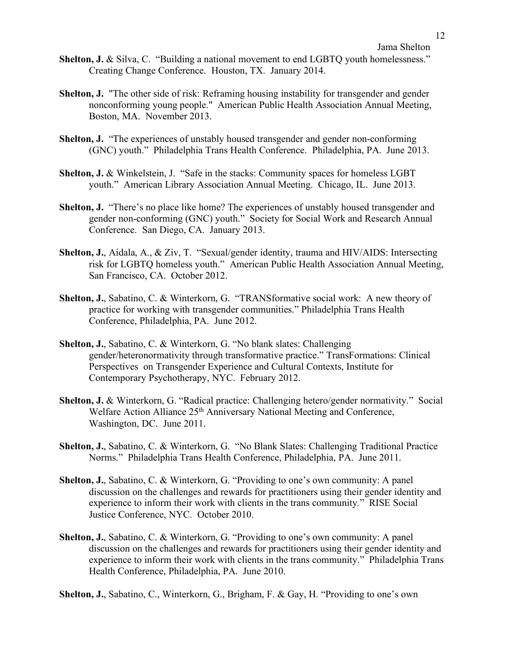- **Shelton, J. & Silva, C.** "Building a national movement to end LGBTQ youth homelessness." Creating Change Conference. Houston, TX. January 2014.
- **Shelton, J.** "The other side of risk: Reframing housing instability for transgender and gender nonconforming young people." American Public Health Association Annual Meeting, Boston, MA. November 2013.
- **Shelton, J.** "The experiences of unstably housed transgender and gender non-conforming (GNC) youth." Philadelphia Trans Health Conference. Philadelphia, PA. June 2013.
- **Shelton, J. & Winkelstein, J. "Safe in the stacks: Community spaces for homeless LGBT** youth." American Library Association Annual Meeting. Chicago, IL. June 2013.
- **Shelton, J.** "There's no place like home? The experiences of unstably housed transgender and gender non-conforming (GNC) youth." Society for Social Work and Research Annual Conference. San Diego, CA. January 2013.
- **Shelton, J.**, Aidala, A., & Ziv, T. "Sexual/gender identity, trauma and HIV/AIDS: Intersecting risk for LGBTQ homeless youth." American Public Health Association Annual Meeting, San Francisco, CA. October 2012.
- **Shelton, J.**, Sabatino, C. & Winterkorn, G. "TRANSformative social work: A new theory of practice for working with transgender communities." Philadelphia Trans Health Conference, Philadelphia, PA. June 2012.
- **Shelton, J.**, Sabatino, C. & Winterkorn, G. "No blank slates: Challenging gender/heteronormativity through transformative practice." TransFormations: Clinical Perspectives on Transgender Experience and Cultural Contexts, Institute for Contemporary Psychotherapy, NYC. February 2012.
- **Shelton, J.** & Winterkorn, G. "Radical practice: Challenging hetero/gender normativity." Social Welfare Action Alliance 25<sup>th</sup> Anniversary National Meeting and Conference, Washington, DC. June 2011.
- **Shelton, J.**, Sabatino, C. & Winterkorn, G. "No Blank Slates: Challenging Traditional Practice Norms." Philadelphia Trans Health Conference, Philadelphia, PA. June 2011.
- **Shelton, J.**, Sabatino, C. & Winterkorn, G. "Providing to one's own community: A panel discussion on the challenges and rewards for practitioners using their gender identity and experience to inform their work with clients in the trans community*.*" RISE Social Justice Conference, NYC. October 2010.
- **Shelton, J.**, Sabatino, C. & Winterkorn, G. "Providing to one's own community: A panel discussion on the challenges and rewards for practitioners using their gender identity and experience to inform their work with clients in the trans community." Philadelphia Trans Health Conference, Philadelphia, PA. June 2010.

**Shelton, J.**, Sabatino, C., Winterkorn, G., Brigham, F. & Gay, H. "Providing to one's own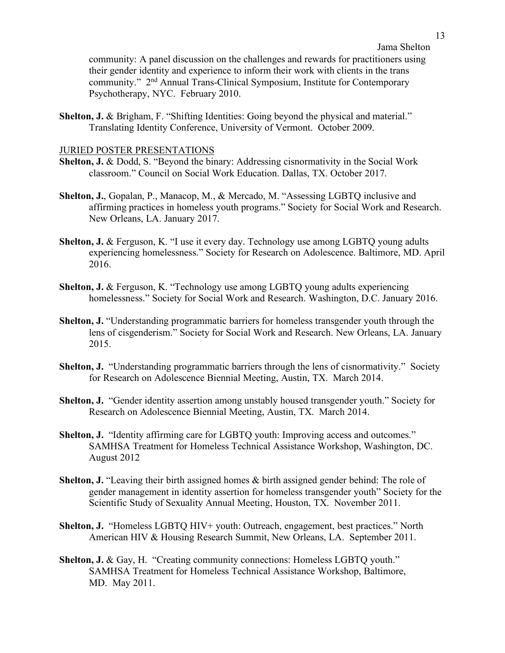community: A panel discussion on the challenges and rewards for practitioners using their gender identity and experience to inform their work with clients in the trans community." 2nd Annual Trans-Clinical Symposium, Institute for Contemporary Psychotherapy, NYC. February 2010.

**Shelton, J. & Brigham, F. "Shifting Identities: Going beyond the physical and material."** Translating Identity Conference, University of Vermont. October 2009.

#### JURIED POSTER PRESENTATIONS

- **Shelton, J.** & Dodd, S. "Beyond the binary: Addressing cisnormativity in the Social Work classroom." Council on Social Work Education. Dallas, TX. October 2017.
- **Shelton, J.**, Gopalan, P., Manacop, M., & Mercado, M. "Assessing LGBTQ inclusive and affirming practices in homeless youth programs." Society for Social Work and Research. New Orleans, LA. January 2017.
- **Shelton, J. & Ferguson, K. "I use it every day. Technology use among LGBTO young adults** experiencing homelessness." Society for Research on Adolescence. Baltimore, MD. April 2016.
- **Shelton, J. & Ferguson, K. "Technology use among LGBTO young adults experiencing** homelessness." Society for Social Work and Research. Washington, D.C. January 2016.
- **Shelton, J.** "Understanding programmatic barriers for homeless transgender youth through the lens of cisgenderism." Society for Social Work and Research. New Orleans, LA. January 2015.
- **Shelton, J.** "Understanding programmatic barriers through the lens of cisnormativity." Society for Research on Adolescence Biennial Meeting, Austin, TX. March 2014.
- **Shelton, J.** "Gender identity assertion among unstably housed transgender youth." Society for Research on Adolescence Biennial Meeting, Austin, TX. March 2014.
- **Shelton, J.** "Identity affirming care for LGBTQ youth: Improving access and outcomes." SAMHSA Treatment for Homeless Technical Assistance Workshop, Washington, DC. August 2012
- **Shelton, J.** "Leaving their birth assigned homes & birth assigned gender behind: The role of gender management in identity assertion for homeless transgender youth" Society for the Scientific Study of Sexuality Annual Meeting, Houston, TX. November 2011.
- **Shelton, J.** "Homeless LGBTQ HIV+ youth: Outreach, engagement, best practices." North American HIV & Housing Research Summit, New Orleans, LA. September 2011.
- **Shelton, J. & Gay, H. "Creating community connections: Homeless LGBTQ youth."** SAMHSA Treatment for Homeless Technical Assistance Workshop, Baltimore, MD. May 2011.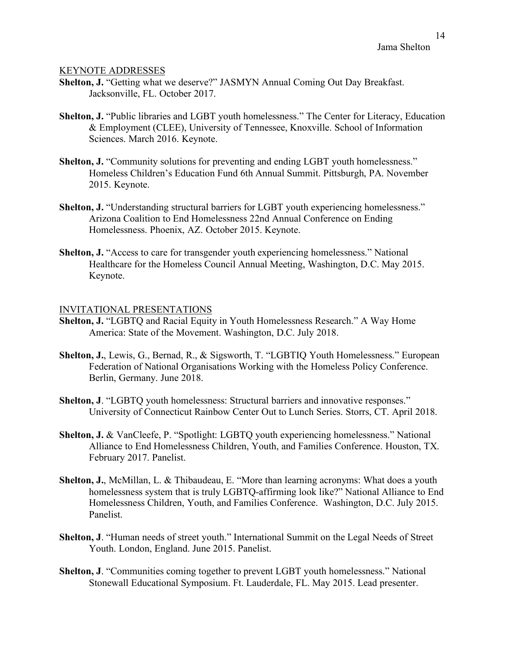#### KEYNOTE ADDRESSES

- **Shelton, J.** "Getting what we deserve?" JASMYN Annual Coming Out Day Breakfast. Jacksonville, FL. October 2017.
- **Shelton, J.** "Public libraries and LGBT youth homelessness." The Center for Literacy, Education & Employment (CLEE), University of Tennessee, Knoxville. School of Information Sciences. March 2016. Keynote.
- **Shelton, J.** "Community solutions for preventing and ending LGBT youth homelessness." Homeless Children's Education Fund 6th Annual Summit. Pittsburgh, PA. November 2015. Keynote.
- **Shelton, J.** "Understanding structural barriers for LGBT youth experiencing homelessness." Arizona Coalition to End Homelessness 22nd Annual Conference on Ending Homelessness. Phoenix, AZ. October 2015. Keynote.
- **Shelton, J.** "Access to care for transgender youth experiencing homelessness." National Healthcare for the Homeless Council Annual Meeting, Washington, D.C. May 2015. Keynote.

#### INVITATIONAL PRESENTATIONS

- **Shelton, J.** "LGBTQ and Racial Equity in Youth Homelessness Research." A Way Home America: State of the Movement. Washington, D.C. July 2018.
- **Shelton, J.**, Lewis, G., Bernad, R., & Sigsworth, T. "LGBTIQ Youth Homelessness." European Federation of National Organisations Working with the Homeless Policy Conference. Berlin, Germany. June 2018.
- **Shelton, J.** "LGBTO youth homelessness: Structural barriers and innovative responses." University of Connecticut Rainbow Center Out to Lunch Series. Storrs, CT. April 2018.
- **Shelton, J.** & VanCleefe, P. "Spotlight: LGBTQ youth experiencing homelessness." National Alliance to End Homelessness Children, Youth, and Families Conference. Houston, TX. February 2017. Panelist.
- **Shelton, J.**, McMillan, L. & Thibaudeau, E. "More than learning acronyms: What does a youth homelessness system that is truly LGBTQ-affirming look like?" National Alliance to End Homelessness Children, Youth, and Families Conference. Washington, D.C. July 2015. Panelist.
- **Shelton, J**. "Human needs of street youth." International Summit on the Legal Needs of Street Youth. London, England. June 2015. Panelist.
- **Shelton, J**. "Communities coming together to prevent LGBT youth homelessness." National Stonewall Educational Symposium. Ft. Lauderdale, FL. May 2015. Lead presenter.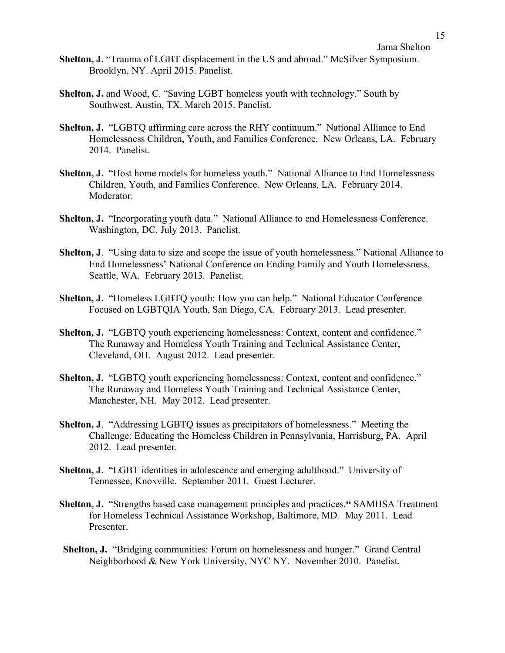- **Shelton, J.** "Trauma of LGBT displacement in the US and abroad." McSilver Symposium. Brooklyn, NY. April 2015. Panelist.
- **Shelton, J.** and Wood, C. "Saving LGBT homeless youth with technology." South by Southwest. Austin, TX. March 2015. Panelist.
- **Shelton, J.** "LGBTQ affirming care across the RHY continuum." National Alliance to End Homelessness Children, Youth, and Families Conference. New Orleans, LA. February 2014. Panelist.
- Shelton, J. "Host home models for homeless youth." National Alliance to End Homelessness Children, Youth, and Families Conference. New Orleans, LA. February 2014. Moderator.
- **Shelton, J.** "Incorporating youth data." National Alliance to end Homelessness Conference. Washington, DC. July 2013. Panelist.
- **Shelton, J**. "Using data to size and scope the issue of youth homelessness." National Alliance to End Homelessness' National Conference on Ending Family and Youth Homelessness, Seattle, WA. February 2013. Panelist.
- **Shelton, J.** "Homeless LGBTQ youth: How you can help." National Educator Conference Focused on LGBTQIA Youth, San Diego, CA. February 2013. Lead presenter.
- **Shelton, J.** "LGBTQ youth experiencing homelessness: Context, content and confidence." The Runaway and Homeless Youth Training and Technical Assistance Center, Cleveland, OH. August 2012. Lead presenter.
- **Shelton, J.** "LGBTO youth experiencing homelessness: Context, content and confidence." The Runaway and Homeless Youth Training and Technical Assistance Center, Manchester, NH. May 2012. Lead presenter.
- **Shelton, J**. "Addressing LGBTQ issues as precipitators of homelessness." Meeting the Challenge: Educating the Homeless Children in Pennsylvania, Harrisburg, PA. April 2012. Lead presenter.
- **Shelton, J.** "LGBT identities in adolescence and emerging adulthood."University of Tennessee, Knoxville. September 2011. Guest Lecturer.
- **Shelton, J.** "Strengths based case management principles and practices.**"** SAMHSA Treatment for Homeless Technical Assistance Workshop, Baltimore, MD*.* May 2011. Lead Presenter.
- **Shelton, J.** "Bridging communities: Forum on homelessness and hunger." Grand Central Neighborhood & New York University, NYC NY. November 2010. Panelist.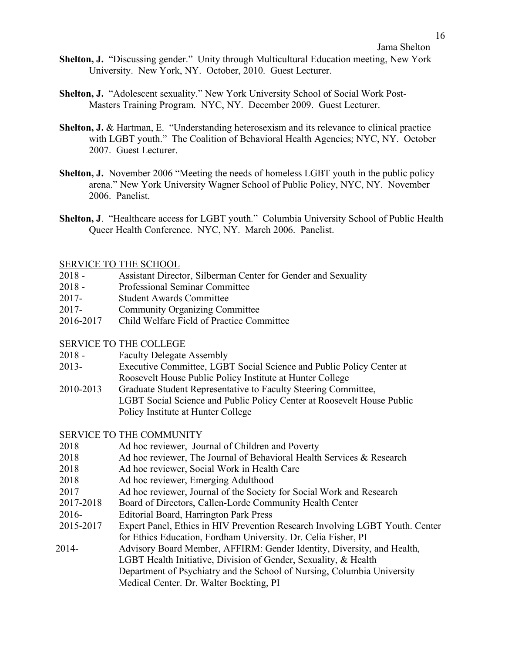- **Shelton, J.** "Discussing gender." Unity through Multicultural Education meeting, New York University. New York, NY. October, 2010. Guest Lecturer.
- **Shelton, J.** "Adolescent sexuality." New York University School of Social Work Post-Masters Training Program. NYC, NY. December 2009. Guest Lecturer.
- **Shelton, J. & Hartman, E. "Understanding heterosexism and its relevance to clinical practice** with LGBT youth." The Coalition of Behavioral Health Agencies; NYC, NY. October 2007. Guest Lecturer.
- **Shelton, J.** November 2006 "Meeting the needs of homeless LGBT youth in the public policy arena." New York University Wagner School of Public Policy, NYC, NY. November 2006. Panelist.
- **Shelton, J**. "Healthcare access for LGBT youth." Columbia University School of Public Health Queer Health Conference. NYC, NY. March 2006. Panelist.

### SERVICE TO THE SCHOOL

- 2018 Assistant Director, Silberman Center for Gender and Sexuality
- 2018 Professional Seminar Committee
- 2017- Student Awards Committee
- 2017- Community Organizing Committee
- 2016-2017 Child Welfare Field of Practice Committee

## SERVICE TO THE COLLEGE

- 2018 Faculty Delegate Assembly
- 2013- Executive Committee, LGBT Social Science and Public Policy Center at Roosevelt House Public Policy Institute at Hunter College
- 2010-2013 Graduate Student Representative to Faculty Steering Committee, LGBT Social Science and Public Policy Center at Roosevelt House Public Policy Institute at Hunter College

### SERVICE TO THE COMMUNITY

- 2018 Ad hoc reviewer, Journal of Children and Poverty
- 2018 Ad hoc reviewer, The Journal of Behavioral Health Services & Research
- 2018 Ad hoc reviewer, Social Work in Health Care
- 2018 Ad hoc reviewer, Emerging Adulthood
- 2017 Ad hoc reviewer, Journal of the Society for Social Work and Research
- 2017-2018 Board of Directors, Callen-Lorde Community Health Center
- 2016- Editorial Board, Harrington Park Press
- 2015-2017 Expert Panel, Ethics in HIV Prevention Research Involving LGBT Youth. Center for Ethics Education, Fordham University. Dr. Celia Fisher, PI
- 2014- Advisory Board Member, AFFIRM: Gender Identity, Diversity, and Health, LGBT Health Initiative, Division of Gender, Sexuality, & Health Department of Psychiatry and the School of Nursing, Columbia University Medical Center. Dr. Walter Bockting, PI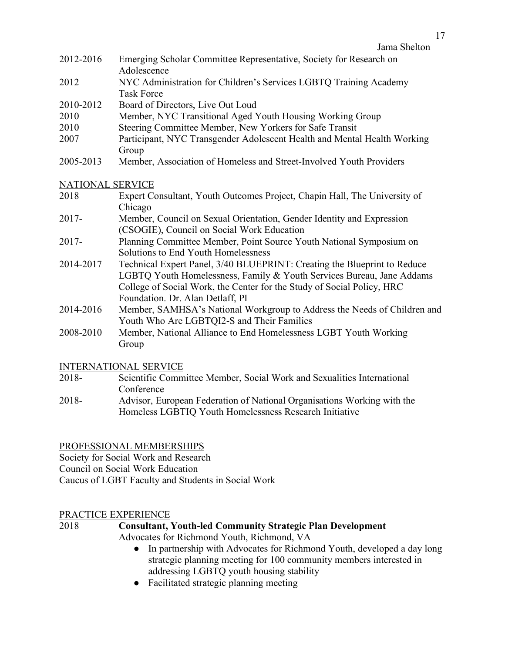- 2012-2016 Emerging Scholar Committee Representative, Society for Research on Adolescence
- 2012 NYC Administration for Children's Services LGBTQ Training Academy Task Force
- 2010-2012 Board of Directors, Live Out Loud
- 2010 Member, NYC Transitional Aged Youth Housing Working Group
- 2010 Steering Committee Member, New Yorkers for Safe Transit
- 2007 Participant, NYC Transgender Adolescent Health and Mental Health Working Group
- 2005-2013 Member, Association of Homeless and Street-Involved Youth Providers

# NATIONAL SERVICE

- 2018 Expert Consultant, Youth Outcomes Project, Chapin Hall, The University of Chicago
- 2017- Member, Council on Sexual Orientation, Gender Identity and Expression (CSOGIE), Council on Social Work Education
- 2017- Planning Committee Member, Point Source Youth National Symposium on Solutions to End Youth Homelessness
- 2014-2017 Technical Expert Panel, 3/40 BLUEPRINT: Creating the Blueprint to Reduce LGBTQ Youth Homelessness, Family & Youth Services Bureau, Jane Addams College of Social Work, the Center for the Study of Social Policy, HRC Foundation. Dr. Alan Detlaff, PI
- 2014-2016 Member, SAMHSA's National Workgroup to Address the Needs of Children and Youth Who Are LGBTQI2-S and Their Families
- 2008-2010 Member, National Alliance to End Homelessness LGBT Youth Working Group

# INTERNATIONAL SERVICE

- 2018- Scientific Committee Member, Social Work and Sexualities International Conference
- 2018- Advisor, European Federation of National Organisations Working with the Homeless LGBTIQ Youth Homelessness Research Initiative

# PROFESSIONAL MEMBERSHIPS

Society for Social Work and Research Council on Social Work Education Caucus of LGBT Faculty and Students in Social Work

# PRACTICE EXPERIENCE

# 2018 **Consultant, Youth-led Community Strategic Plan Development**

Advocates for Richmond Youth, Richmond, VA

- In partnership with Advocates for Richmond Youth, developed a day long strategic planning meeting for 100 community members interested in addressing LGBTQ youth housing stability
- Facilitated strategic planning meeting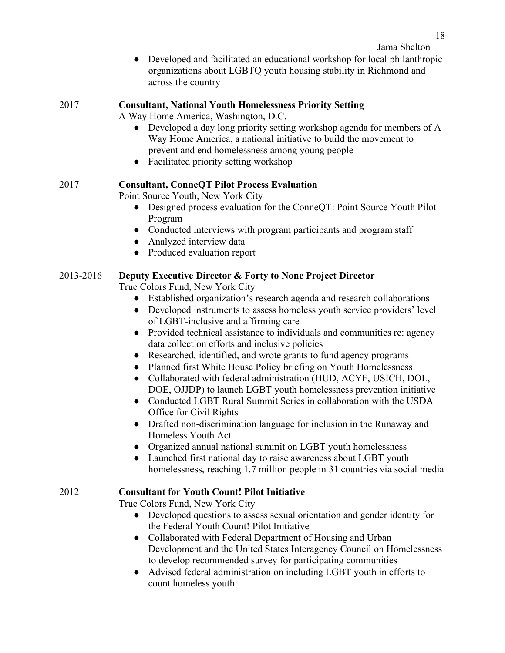• Developed and facilitated an educational workshop for local philanthropic organizations about LGBTQ youth housing stability in Richmond and across the country

# 2017 **Consultant, National Youth Homelessness Priority Setting**

A Way Home America, Washington, D.C.

- Developed a day long priority setting workshop agenda for members of A Way Home America, a national initiative to build the movement to prevent and end homelessness among young people
- Facilitated priority setting workshop

# 2017 **Consultant, ConneQT Pilot Process Evaluation**

Point Source Youth, New York City

- Designed process evaluation for the ConneQT: Point Source Youth Pilot Program
- Conducted interviews with program participants and program staff
- Analyzed interview data
- Produced evaluation report

# 2013-2016 **Deputy Executive Director & Forty to None Project Director**

True Colors Fund, New York City

- Established organization's research agenda and research collaborations
- Developed instruments to assess homeless youth service providers' level of LGBT-inclusive and affirming care
- Provided technical assistance to individuals and communities re: agency data collection efforts and inclusive policies
- Researched, identified, and wrote grants to fund agency programs
- Planned first White House Policy briefing on Youth Homelessness
- Collaborated with federal administration (HUD, ACYF, USICH, DOL, DOE, OJJDP) to launch LGBT youth homelessness prevention initiative
- Conducted LGBT Rural Summit Series in collaboration with the USDA Office for Civil Rights
- Drafted non-discrimination language for inclusion in the Runaway and Homeless Youth Act
- Organized annual national summit on LGBT youth homelessness
- Launched first national day to raise awareness about LGBT youth homelessness, reaching 1.7 million people in 31 countries via social media

# 2012 **Consultant for Youth Count! Pilot Initiative**

True Colors Fund, New York City

- Developed questions to assess sexual orientation and gender identity for the Federal Youth Count! Pilot Initiative
- Collaborated with Federal Department of Housing and Urban Development and the United States Interagency Council on Homelessness to develop recommended survey for participating communities
- Advised federal administration on including LGBT youth in efforts to count homeless youth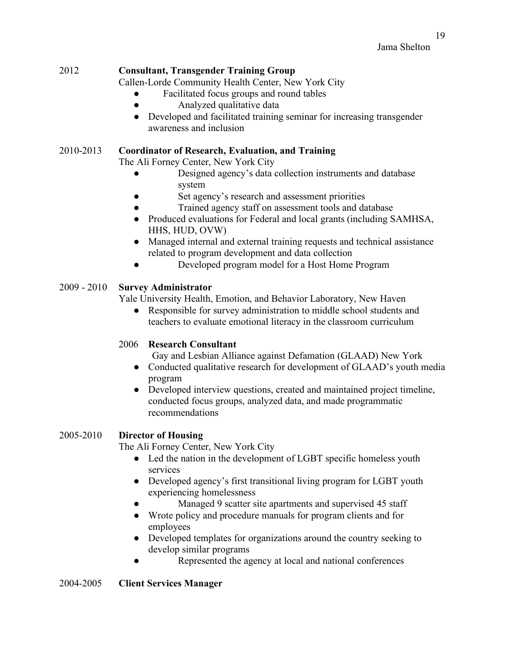# 2012 **Consultant, Transgender Training Group**

Callen-Lorde Community Health Center, New York City

- Facilitated focus groups and round tables
- Analyzed qualitative data
- Developed and facilitated training seminar for increasing transgender awareness and inclusion

### 2010-2013 **Coordinator of Research, Evaluation, and Training**

The Ali Forney Center, New York City

- Designed agency's data collection instruments and database system
- Set agency's research and assessment priorities
- Trained agency staff on assessment tools and database
- Produced evaluations for Federal and local grants (including SAMHSA, HHS, HUD, OVW)
- Managed internal and external training requests and technical assistance related to program development and data collection
- Developed program model for a Host Home Program

# 2009 - 2010 **Survey Administrator**

Yale University Health, Emotion, and Behavior Laboratory, New Haven

● Responsible for survey administration to middle school students and teachers to evaluate emotional literacy in the classroom curriculum

## 2006 **Research Consultant**

Gay and Lesbian Alliance against Defamation (GLAAD) New York

- Conducted qualitative research for development of GLAAD's youth media program
- Developed interview questions, created and maintained project timeline, conducted focus groups, analyzed data, and made programmatic recommendations

## 2005-2010 **Director of Housing**

The Ali Forney Center, New York City

- Led the nation in the development of LGBT specific homeless youth services
- Developed agency's first transitional living program for LGBT youth experiencing homelessness
- Managed 9 scatter site apartments and supervised 45 staff
- Wrote policy and procedure manuals for program clients and for employees
- Developed templates for organizations around the country seeking to develop similar programs
- Represented the agency at local and national conferences

## 2004-2005 **Client Services Manager**